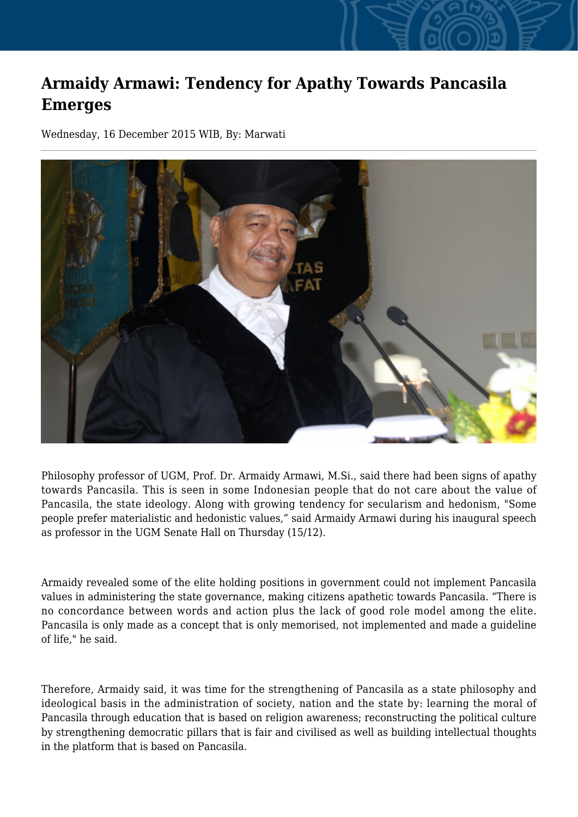## **Armaidy Armawi: Tendency for Apathy Towards Pancasila Emerges**

Wednesday, 16 December 2015 WIB, By: Marwati



Philosophy professor of UGM, Prof. Dr. Armaidy Armawi, M.Si., said there had been signs of apathy towards Pancasila. This is seen in some Indonesian people that do not care about the value of Pancasila, the state ideology. Along with growing tendency for secularism and hedonism, "Some people prefer materialistic and hedonistic values," said Armaidy Armawi during his inaugural speech as professor in the UGM Senate Hall on Thursday (15/12).

Armaidy revealed some of the elite holding positions in government could not implement Pancasila values in administering the state governance, making citizens apathetic towards Pancasila. "There is no concordance between words and action plus the lack of good role model among the elite. Pancasila is only made as a concept that is only memorised, not implemented and made a guideline of life," he said.

Therefore, Armaidy said, it was time for the strengthening of Pancasila as a state philosophy and ideological basis in the administration of society, nation and the state by: learning the moral of Pancasila through education that is based on religion awareness; reconstructing the political culture by strengthening democratic pillars that is fair and civilised as well as building intellectual thoughts in the platform that is based on Pancasila.